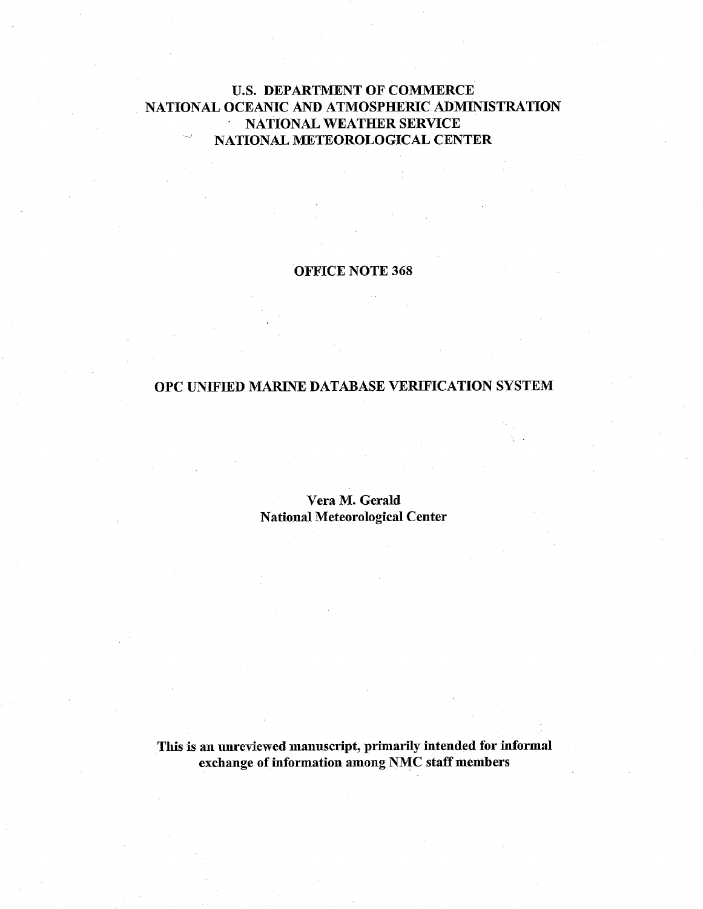# U.S. DEPARTMENT OF COMMERCE NATIONAL OCEANIC AND ATMOSPHERIC ADMINISTRATION NATIONAL WEATHER SERVICE ' NATIONAL METEOROLOGICAL CENTER

### OFFICE NOTE 368

## OPC UNIFIED MARINE DATABASE VERIFICATION SYSTEM

Vera M. Gerald National Meteorological Center

This is an unreviewed manuscript, primarily intended for informal exchange of information among NMC staff members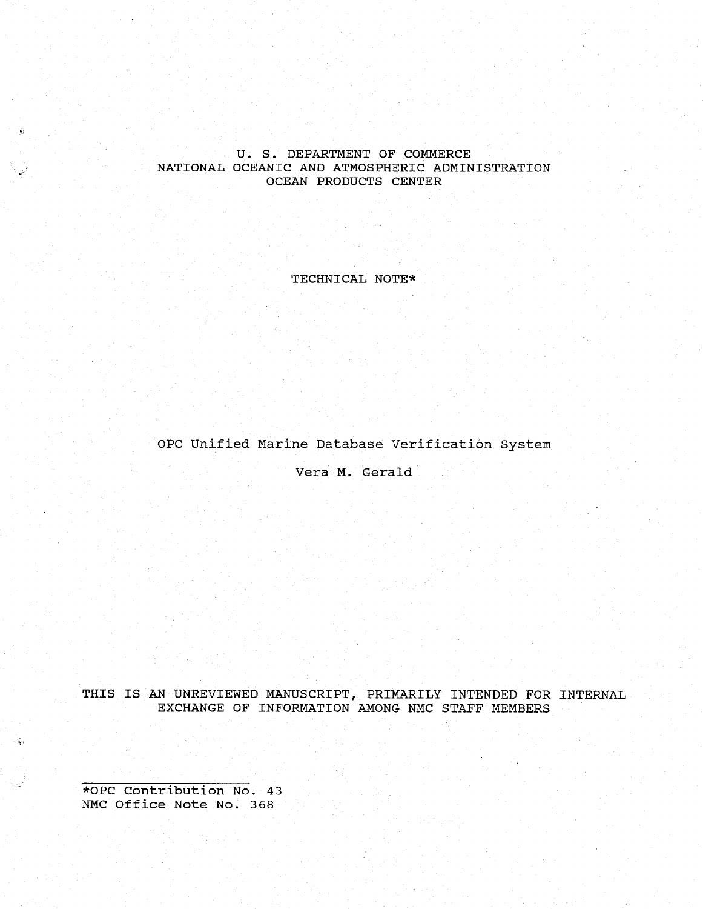### U. S. DEPARTMENT OF COMMERCE NATIONAL OCEANIC AND ATMOSPHERIC ADMINISTRATION OCEAN PRODUCTS CENTER

TECHNICAL NOTE\*

OPC Unified Marine Database Verification System

Vera M. Gerald

THIS IS AN UNREVIEWED MANUSCRIPT, PRIMARILY INTENDED FOR EXCHANGE OF INFORMATION AMONG NMC STAFF MEMBERS INTERNAL

\*OPC Contribution No. 43 NMC Office Note No. 368

The Card

 $\widehat{\mathbf{G}}$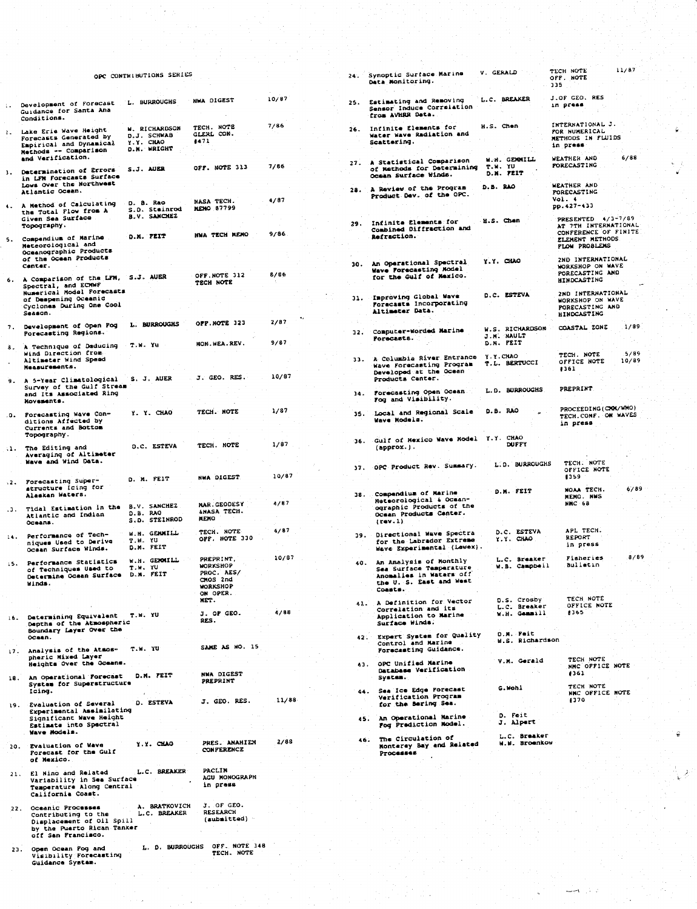### OPC CONTRIBUTIONS SERIES

 $\overline{2}$ 

|                |                                                                                                                               | OPC CONTRIBUTIONS SERIES                                 |                                                                          |       | 24.7   | Synoptic Surface Marine<br>Data Monitoring.                                                                            | V. GERALD                                   | TLCH NOTE<br>OFF. NOTE<br>335                                                         | 11/07         |
|----------------|-------------------------------------------------------------------------------------------------------------------------------|----------------------------------------------------------|--------------------------------------------------------------------------|-------|--------|------------------------------------------------------------------------------------------------------------------------|---------------------------------------------|---------------------------------------------------------------------------------------|---------------|
|                | Development of Forecast<br>Guidance for Santa Ana<br>Conditions.                                                              | L. BURROUGHS                                             | NHA DIGEST                                                               | 10/87 | 25.    | Estimating and Removing<br>Sensor Induce Correlation<br>from AVHRR Deta.                                               | L.C. BREAKER                                | J.OF GEO. RES<br>in press                                                             |               |
|                | Lake Erie Wave Height<br>Forecasts Generated by<br>Empirical and Dynamical<br>Methods -- Comparison                           | W. RICHARDSON<br>D.J. SCHWAB<br>Y.Y. CHAO<br>D.M. WRIGHT | TECH. NOTE<br>GLERL CON.<br>4471                                         | 7/86  | 26.    | Infinite Elements for<br>Water Wave Radiation and<br>Scattering.                                                       | H.S. Chen                                   | INTERNATIONAL J.<br>FOR NUMERICAL<br>METHODS IN FLUIDS<br>in press.                   |               |
|                | and Verification.<br>Determination of Errors.<br>in LFN Forecasts Surface                                                     | S.J. AUER                                                | OFF. NOTE 313                                                            | 7/86  |        | 27. A Statistical Comparison<br>of Mathods for Determining<br>Ocean Surface Winds.                                     | <b>W.M. GENNILL</b><br>T.W. YU<br>D.N. FEIT | WEATHER AND<br><b>FORECASTING</b>                                                     | 6/88          |
|                | Lows Over the Northwest<br>Atlantic Ocean.<br>. A Method of Calculating                                                       | D. B. Rao                                                | NASA TECH.                                                               | 4/87  |        | 28. A Review of the Program<br>Product Dev. of the OPC.                                                                | D.B. 280                                    | WEATHER AND<br><b>PORECASTING</b><br>Vol. 4<br>pp.427-433                             |               |
|                | the Total Flow from A<br>Given Sea Surface<br>Topography.                                                                     | S.D. Steinrod<br>B.V. SANCHEZ                            | <b>NEWO 87799</b>                                                        |       | 29.    | Infinite Elements for<br>Combined Diffraction and                                                                      | H.S. Chen                                   | PRESENTED 4/3-7/89<br>AT 7TH INTERNATIONAL<br>CONFERENCE OF FINITE                    |               |
| 5.             | Compendium of Marine<br>Meteorological and<br>Oceanographic Products<br>of the Ocean Products                                 | D.K. FEIT                                                | <b>NWA TECH MEMO</b>                                                     | 9/86  |        | Refraction.                                                                                                            |                                             | ELEMENT METHODS<br><b>PLOW PROBLEMS</b><br>2ND INTERNATIONAL                          |               |
| 6.             | Center.<br>A Comparison of the LFM, S.J. AUER<br>Spectral, and ECMWF                                                          |                                                          | OFF.NOTE 312<br>TECH NOTE                                                | 8/86  |        | 30. An Operational Spectral<br>Wave Forecasting Model<br>for the Gulf of Mexico.                                       | Y.Y. CHAO                                   | WORKSHOP ON WAVE<br>PORECASTING AND<br><b>HINDCASTING</b>                             |               |
|                | Numerical Model Forecasts<br>of Despening Oceanic<br>Cyclones During One Cool<br>Season.                                      |                                                          |                                                                          |       |        | 31. Improving Global Wave<br>Forecasts Incorporating<br>Altimeter Data.                                                | D.C. ESTEVA                                 | 2ND INTERNATIONAL<br><b>WORKSHOP ON WAVE</b><br>PORECASTING AND<br><b>HINDCASTING</b> |               |
|                | 7. Development of Open Fog<br>Porecasting Regions.                                                                            | L. BURROUGHS                                             | OFF.NOTE 323                                                             | 2/87  | 32.    | Computer-Worded Marine<br>Forecasts.                                                                                   | W.S. RICHARDSON<br>J.M. NAULT               | COASTAL ZONE                                                                          | 1/89          |
|                | 8. A Technique of Deducing<br>Wind Direction from<br>Altimeter Wind Speed<br>Measurements.                                    | T.W. Yu                                                  | MON. WEA. REV.                                                           | 9/87  | $33 -$ | A Columbia River Entrance<br>Wave Forecasting Program                                                                  | D.M. FEIT<br>Y.Y.CHAO<br>T.L. BERTUCCI      | TECH. NOTE<br>OFFICE NOTE<br>#361                                                     | 5/89<br>10/89 |
|                | 9. A 5-Year Climatological S. J. AUER<br>Survey of the Gulf Stream<br>and Its Associated Ring                                 |                                                          | J. GEO. RES.                                                             | 10/87 | 34.    | Developed at the Ocean<br>Products Canter.<br>Forecasting Open Ocean                                                   | L.D. BURROUGHS                              | PREPRINT                                                                              |               |
|                | Movements.<br>0. Forecasting Wave Con-<br>ditions Affected by                                                                 | Y. Y. CHAO                                               | TECH. NOTE                                                               | 1/87  | 35.    | Fog and Visibility.<br>Local and Regional Scale<br>Wave Models.                                                        | D.B. RAO                                    | PROCEEDING (CRI/WHO)<br>TECH.CONF. ON WAVES<br>in press                               |               |
| $\mathbf{1}$ . | Currents and Bottom<br>Topography.<br>The Editing and                                                                         | D.C. ESTEVA                                              | TECH. NOTE                                                               | 1/87  | 36.    | Gulf of Hexico Wave Rodel Y.Y. CHAO<br>$(approx.)$ .                                                                   | DUFFY                                       |                                                                                       |               |
|                | Averaging of Altimeter<br>Wave and Wind Data.                                                                                 |                                                          | NWA DIGEST                                                               | 10/87 |        | 37. OPC Product Rev. Summary.                                                                                          | L.D. BURROUGHS                              | TECH. NOTE<br>OFFICE NOTE<br>1359                                                     |               |
| $-2$ .         | Forecasting Super-<br>structure Icing for<br>Alaskan Waters.                                                                  | D. M. FEIT                                               | MAR. GEODESY                                                             | 4/87  |        | 18. Compendium of Marine<br>Meteorological & Ocean-                                                                    | D.M. FEIT                                   | NOAA TECH.<br>MEMO. NWS<br><b>NMC 68</b>                                              | 6/89          |
|                | .3. Tidal Estimation in the<br>Atlantic and Indian<br>Oceans.                                                                 | B.V. SANCHEZ<br>D.B. RAO<br>S.D. STEINROD                | <b>SHASA TECH.</b><br><b>NEMO</b><br>TECH. NOTE                          | 4/87  |        | ographic Products of the<br>Ocean Products Center.<br>(row.1)                                                          | D.C. ESTEVA                                 | APL TECH.                                                                             |               |
| L4.            | Performance of Tech-<br>niques Used to Derive<br>Ocean Surface Winds.                                                         | W.H. GENNILL<br>T.W. YU<br>D.M. FEIT                     | OFF. HOTE 330<br>PREPRINT.                                               | 10/87 |        | 39. Directional Wave Spectra<br>for the Labrador Extrese<br>Have Experimental (Lewex).                                 | $Y. Y.$ CHAO                                | REPORT<br>in press<br>Fisheries                                                       | 0/89          |
| 15. L          | Performance Statistics<br>of Techniques Used to<br>Determine Ocean Surface D.M. FEIT<br>Winds.                                | W.H. GERMILL<br>T.W. YU                                  | <b>WORKSHOP</b><br>PROC. AES/<br>CHOS 2nd<br><b>HORKSHOP</b><br>ON OPER. |       |        | 40. An Analysis of Honthly<br>Sea Surface Temperature<br>Anomalies in Waters off<br>the U. S. East and West<br>Coasts. | L.C. Breaker<br>W.B. Campbell               | Bulletin                                                                              |               |
| i 6.           | Determining Equivalent<br>Depths of the Atmospheric                                                                           | T.W. YU                                                  | MET.<br>J. OF GEO.<br>RES.                                               | 4/88  |        | 41. A Definition for Vector<br>Correlation and its<br>Application to Marine<br>Surface Winds.                          | D.S. Crosby<br>L.C. Breaker<br>W.H. Gemmill | TECH NOTE<br>OFFICE NOTE<br>1365                                                      |               |
|                | Boundary Layer Over the<br>OCSAR.<br>17. Analysis of the Atmos-                                                               | T.W. YU                                                  | SAME AS NO. 15                                                           |       |        | 42. Expert System for Quality<br>Control and Marine<br>Forecasting Guidance.                                           | D.M. Feit<br>W.S. Richardson                |                                                                                       |               |
|                | pheric Mixed Layer<br>Heights Over the Oceans.<br>18. An Operational Forecast                                                 | D.M. FEIT                                                | NWA DIGEST<br><b>PREPRINT</b>                                            |       |        | 43. OPC Unified Marine<br>Database Verification<br>System.                                                             | V.M. Gerald                                 | TECH NOTE<br>NMC OFFICE NOTE<br>#361                                                  |               |
|                | System for Superstructure<br>Icing.<br>19. Evaluation of Several                                                              | D. ESTEVA                                                | J. CEO. RES.                                                             | 11/38 |        | 44. Sea Ice Edge Porecast<br>Verification Program<br>for the Bering Sea.                                               | G.Wohl                                      | TECH NOTE<br>NHC OFFICE NOTE<br>4370                                                  |               |
|                | Experimental Assimilating<br>Significant Wave Height<br>Estimate into Spectral<br>Wave Hodels.                                |                                                          |                                                                          |       |        | 45. An Operational Marine<br>Fog Prediction Model.                                                                     | D. Feit<br>J. Alpert                        |                                                                                       |               |
|                | 20. Evaluation of Wave<br><b>Forecast for the Gulf</b><br>of Nexico.                                                          | Y.Y. CHAO                                                | PRES. ANAHIZM<br>CONFERENCE                                              | 2/88  |        | 46. The Circulation of<br>Monterey Bay and Related<br>Processes                                                        | L.C. Breaker<br>H.H. Broenkow               |                                                                                       |               |
|                | 21. El Nino and Related<br>Variability in Sea Surface<br>Temperature Along Central<br>California Coast.                       | L.C. BREAKER                                             | <b>PACLIN</b><br>AGU MONOGRAPH<br>in press                               |       |        |                                                                                                                        |                                             |                                                                                       |               |
|                | 22. Oceanic Processes<br>Contributing to the<br>Displacement of Oil Spill<br>by the Puerto Rican Tanker<br>off San Francisco. | A. BRATKOVICH<br>L.C. BREAKER                            | J. OF GEO.<br>RESEARCH<br>(submitted)                                    |       |        |                                                                                                                        |                                             |                                                                                       |               |
| 23.            | Open Ocean Pog and<br>Visibility Forecasting<br>Guidance Systam.                                                              |                                                          | L. D. BURROUGHS OFF. NOTE 348<br>TECH. NOTE                              |       |        |                                                                                                                        |                                             |                                                                                       |               |

TECH NOTE

 $11/87$ 

 $\hat{z}$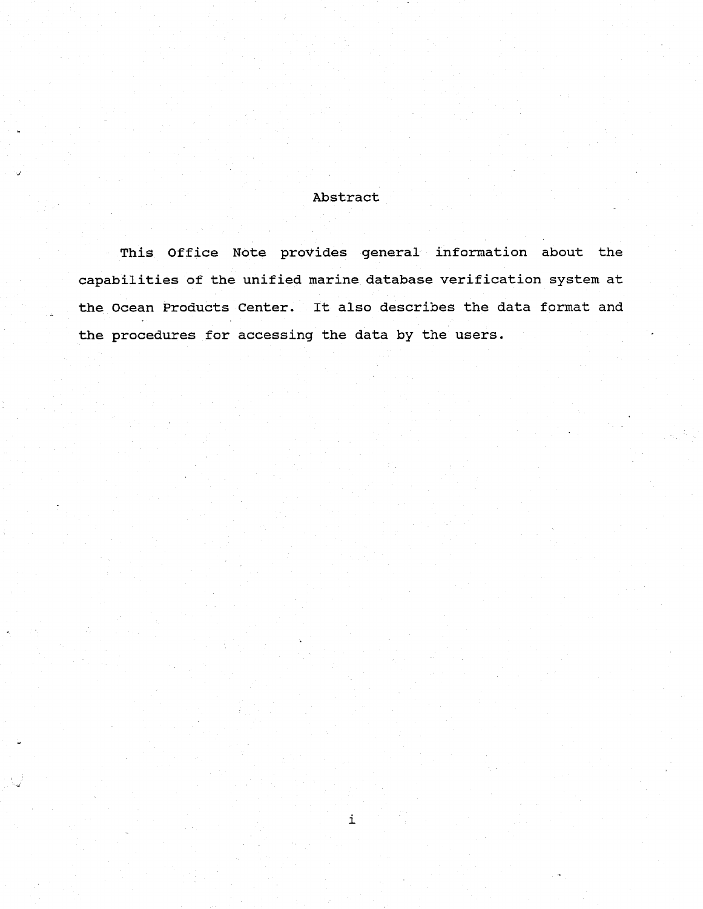### Abstract

This Office Note provides general information about the capabilities of the unified marine database verification system at the Ocean Products Center. It also describes the data format and the procedures for accessing the data by the users.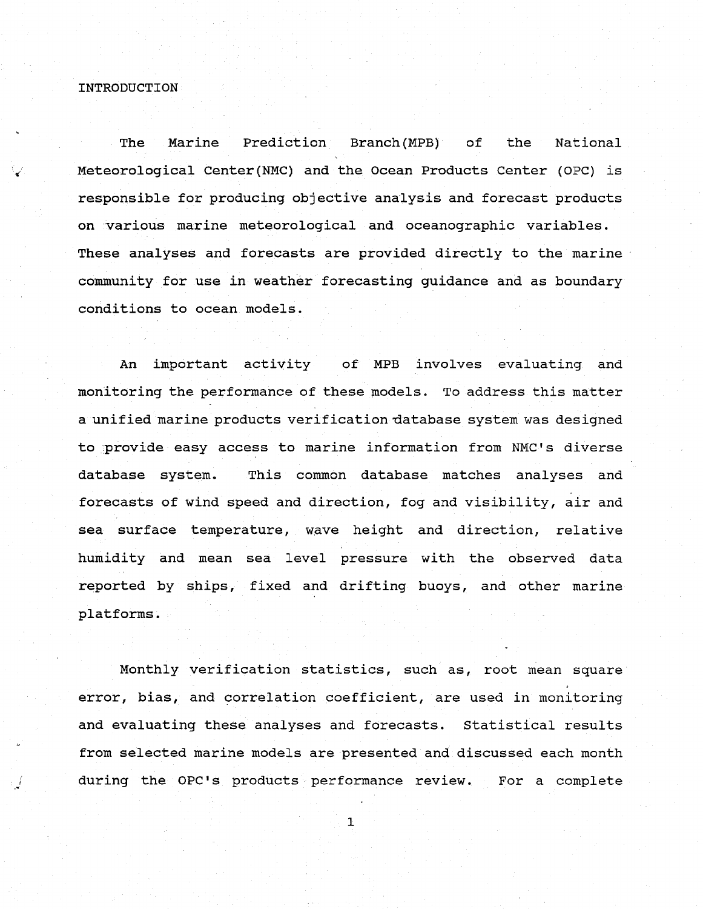#### INTRODUCTION

The Marine Prediction Branch(MPB) of the National Meteorological Center(NMC) and the Ocean Products Center (OPC) is responsible for producing objective analysis and forecast products on various marine meteorological and oceanographic variables. These analyses and forecasts are provided directly to the marine community for use in weather forecasting guidance and as boundary conditions to ocean models.

An important activity of MPB involves evaluating and monitoring the performance of these models. To address this matter a unified marine products verification database system was designed to provide easy access to marine information from NMC's diverse database system. This common database matches analyses and forecasts of wind speed and direction, fog and visibility, air and sea surface temperature, wave height and direction, relative humidity and mean sea level pressure with the observed data reported by ships, fixed and drifting buoys, and other marine platforms.

Monthly verification statistics, such as, root mean square error, bias, and correlation coefficient, are used in monitoring and evaluating these analyses and forecasts. Statistical results from selected marine models are presented and discussed each month during the OPC's products performance review. For a complete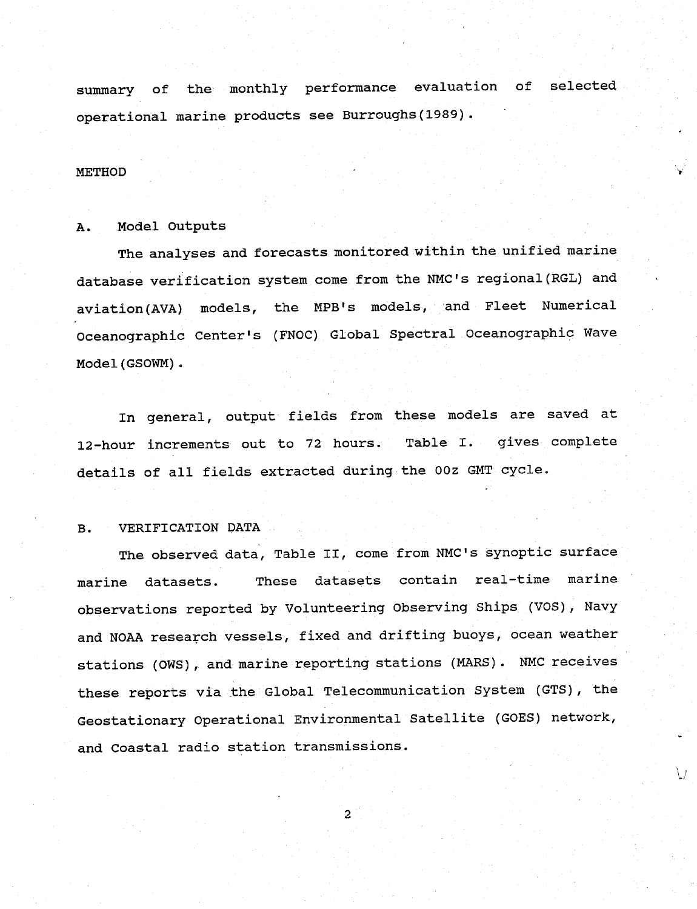summary of the monthly performance evaluation of selected operational marine products see Burroughs(1989).

### **METHOD**

### A. Model Outputs

The analyses and forecasts monitored within the unified marine database verification system come from the NMC's regional(RGL) and aviation(AVA) models, the MPB's models, and Fleet Numerical Oceanographic Center's (FNOC) Global Spectral Oceanographic Wave Model(GSOWM).

In general, output fields from these models are saved at 12-hour increments out to 72 hours. Table I. gives complete details of all fields extracted during the OOz GMT cycle.

### B. VERIFICATION DATA

The observed data, Table II, come from NMC's synoptic surface marine datasets. These datasets contain real-time marine observations reported by Volunteering Observing Ships (VOS), Navy and NOAA research vessels, fixed and drifting buoys, ocean weather stations (OWS), and marine reporting stations (MARS). NMC receives these reports via the Global Telecommunication System (GTS), the Geostationary Operational Environmental Satellite (GOES) network, and Coastal radio station transmissions.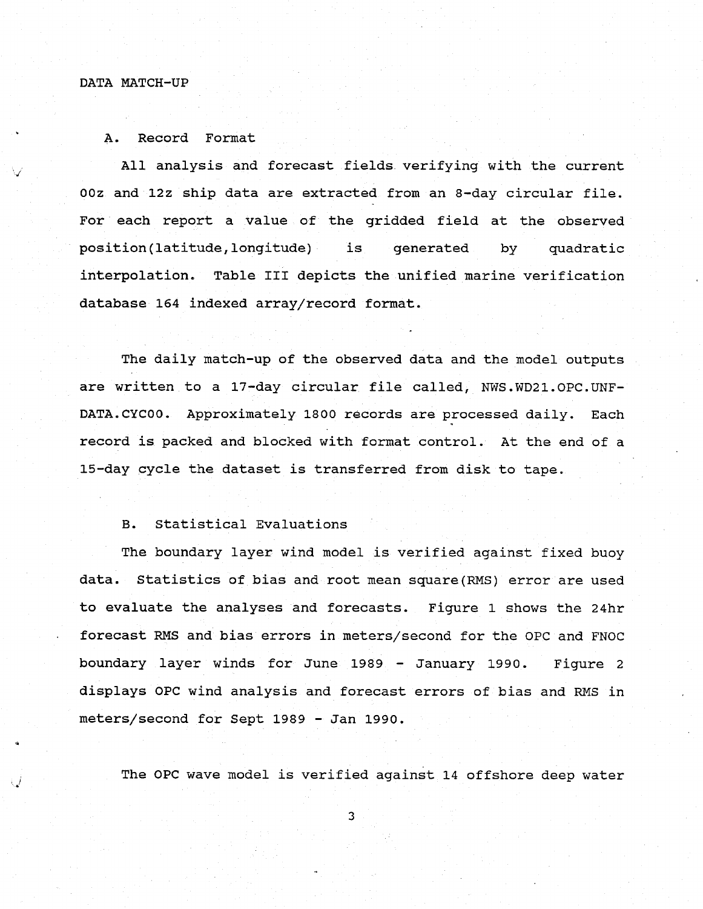### DATA MATCH-UP

#### A. Record Format

All analysis and forecast fields verifying with the current 00z and 12z ship data are extracted from an 8-day circular file. For each report a value of the gridded field at the observed position(latitude,longitude) is generated by quadratic interpolation. Table III depicts the unified marine verification database 164 indexed array/record format.

The daily match-up of the observed data and the model outputs are written to a 17-day circular file called, NWS.WD21.OPC.UNF-DATA.CYC00. Approximately 1800 records are processed daily. Each record is packed and blocked with format control. At the end of a 15-day cycle the dataset is transferred from disk to tape.

#### B. Statistical Evaluations

The boundary layer wind model is verified against fixed buoy data. Statistics of bias and root mean square(RMS) error are used to evaluate the analyses and forecasts. Figure 1 shows the 24hr forecast RMS and bias errors in meters/second for the OPC and FNOC boundary layer winds for June 1989 - January 1990. Figure 2 displays OPC wind analysis and forecast errors of bias and RMS in meters/second for Sept 1989 - Jan 1990.

The OPC wave model is verified against 14 offshore deep water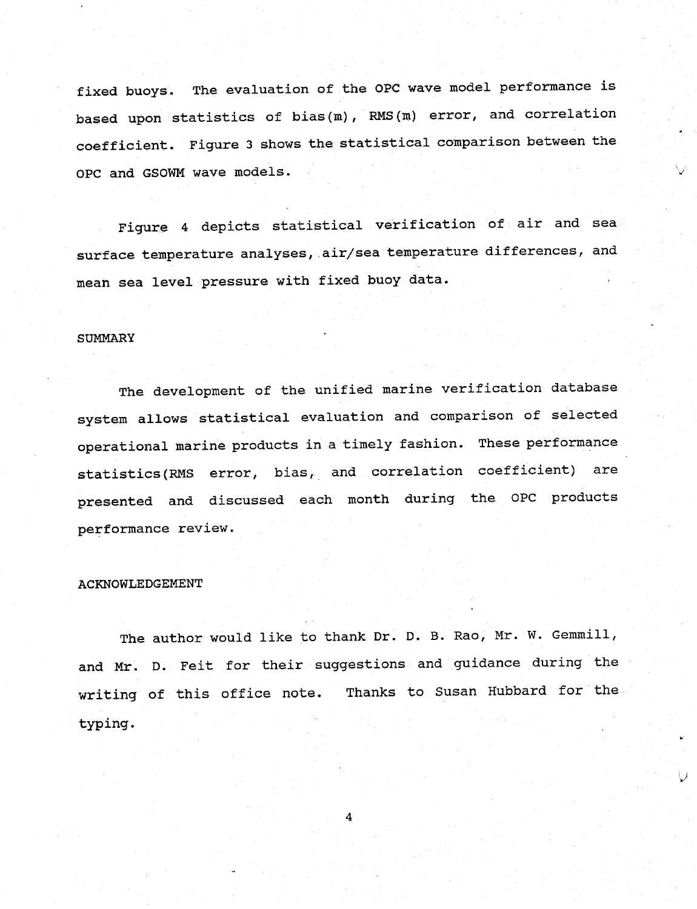fixed buoys. The evaluation of the OPC wave model performance is based upon statistics of bias(m), RMS(m) error, and correlation coefficient. Figure 3 shows the statistical comparison between the OPC and GSOWM wave models.

Figure 4 depicts statistical verification of air and sea surface temperature analyses, air/sea temperature differences, and mean sea level pressure with fixed buoy data.

### **SUMMARY**

The development of the unified marine verification database system allows statistical evaluation and comparison of selected operational marine products in a timely fashion. These performance statistics(RMS error, bias, and correlation coefficient) are presented and discussed each month during the OPC products performance review.

#### ACKNOWLEDGEMENT

The author would like to thank Dr. D. B. Rao, Mr. W. Gemmill, and Mr. D. Feit for their suggestions and guidance during the writing of this office note. Thanks to Susan Hubbard for the typing.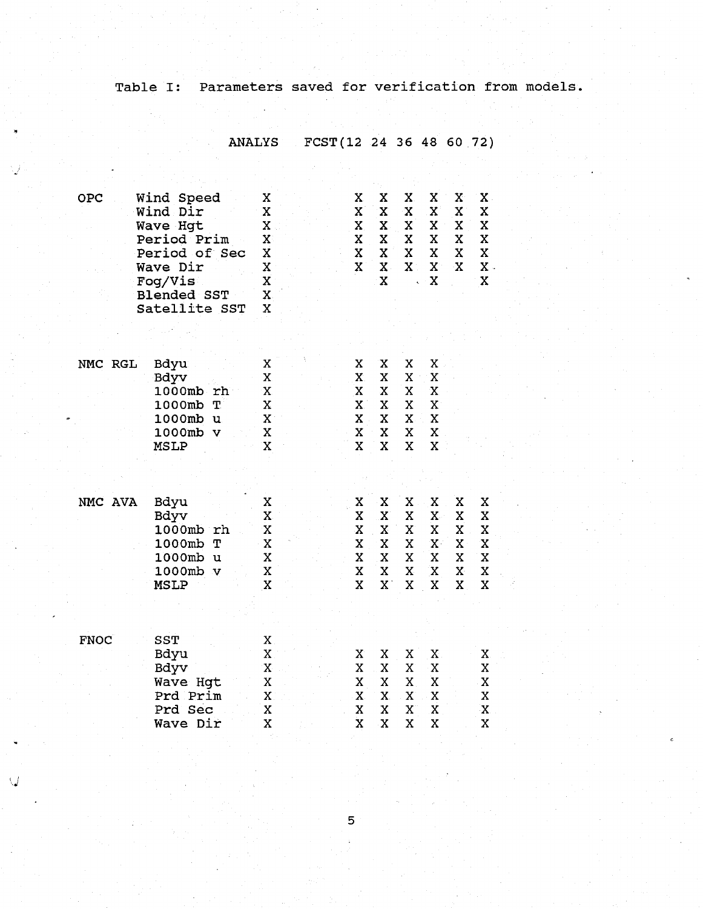# Table I: Parameters saved for verification from models.

 $\ddot{\phantom{a}}$ 

ANALYS FCST(12 24 36 48 60 72)

| OPC         | Wind Speed<br>Wind Dir<br>Wave Hqt<br>Period Prim<br>Period of Sec<br>Wave Dir<br>Fog/Vis<br><b>Blended SST</b><br>Satellite SST | Χ<br>X<br>Χ<br>X<br>X<br>X<br>X<br>$\mathbf X$<br>X | $\mathbf X$<br>X<br>X<br>X<br>X<br>$\mathbf x$                           | X<br>X<br>X<br>X<br>X<br>$\mathbf x$<br>$\mathbf{x}$ | X.<br>Χ<br>X<br>X<br>X<br>$\mathbf{X}^{\perp}$ | X<br>X<br>X<br>X<br>X<br>$\mathbf{X}^{\prime}$<br>$\mathbf x$ | X<br>X<br>X<br>X<br>X<br>$\mathbf x$       | $\mathbf X$ .<br>X<br>X<br>$\mathbf x$<br>$\mathbf x$<br>$X$ .<br>X |
|-------------|----------------------------------------------------------------------------------------------------------------------------------|-----------------------------------------------------|--------------------------------------------------------------------------|------------------------------------------------------|------------------------------------------------|---------------------------------------------------------------|--------------------------------------------|---------------------------------------------------------------------|
|             |                                                                                                                                  |                                                     |                                                                          |                                                      |                                                |                                                               |                                            |                                                                     |
| NMC RGL     | Bdyu<br>Bdyv<br>1000mb<br>rh<br>1000mb<br>T<br>1000mb<br>u<br>1000mb<br>v<br>MSLP                                                | X<br>X.<br>X<br>X<br>$\mathbf{X}$<br>X<br>X         | X<br>$\mathbf{X}$<br>$\mathbf x$<br>$\mathbf x$<br>X<br>X<br>$\mathbf x$ | X<br>X<br>X<br>X<br>X<br>X<br>X                      | X<br>X<br>X<br>X<br>$\mathbf{x}$<br>X<br>X     | X<br>X<br>X<br>X<br>X<br>X<br>X                               |                                            |                                                                     |
| NMC AVA     | Bdyu<br>Bdyv<br>1000mb rh<br>1000mb<br>Т<br>1000mb<br>u<br>1000mb<br>$\mathbf v$<br><b>MSLP</b>                                  | X<br>X<br>X<br>X<br>X<br>X<br>$\mathbf X$           | X<br>X<br>X<br>X<br>X<br>X<br>X                                          | X<br>X<br>X<br>X<br>X<br>X<br>$\mathbf X$            | X<br>X<br>X<br>X<br>X<br>X<br>X                | X<br>X<br>X<br>$\mathbf{X}^{\perp}$<br>X<br>$\mathbf x$<br>X  | x<br>X<br>X<br>X<br>X<br>$\mathbf{X}$<br>X | Χ<br>X<br>X<br>X<br>X<br>X<br>X                                     |
| <b>FNOC</b> | SST<br>Bdyu<br>Bdyv<br>Wave Hgt<br>Prd Prim<br>Prd Sec<br>Wave Dir                                                               | X<br>$\mathbf X$<br>X<br>X<br>X<br>X<br>X           | X<br>X<br>X<br>X<br>X<br>$\mathbf{\bar{X}}$                              | X<br>X<br>X<br>X.<br>X<br>$\mathbf X$                | X<br>X<br>X<br>X<br>X<br>X                     | X<br>Χ<br>X<br>X<br>X<br>X                                    |                                            | X.<br>Χ<br>$\,$ X<br>X<br>X<br>X                                    |

Ų.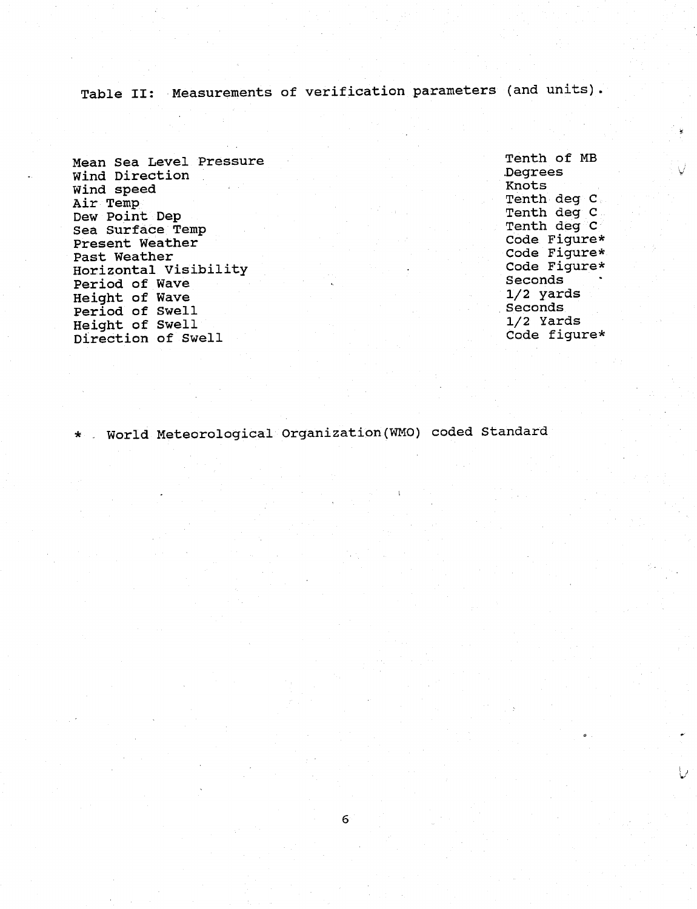Table II: Measurements of verification parameters (and units).

Mean Sea Level Pressure Wind Direction Wind speed Air Temp Dew Point Dep Sea Surface Temp Present Weather Past Weather Horizontal Visibility Period of Wave Height of Wave Period of Swell Height of Swell Direction of Swell

Tenth of MB Degrees Knots Tenth deg C Tenth deg C Tenth deg C Code Figure\* Code Figure\* Code Figure\* Seconds 1/2 yards Seconds 1/2 Yards Code figure\*

\* World Meteorological Organization(WMO) coded Standard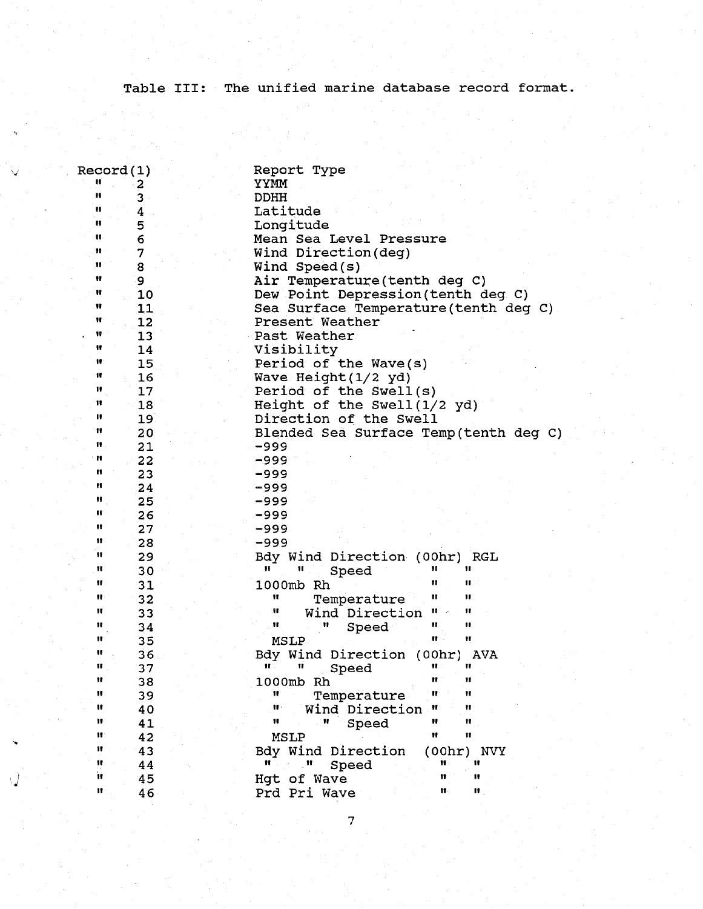Table III: The unified marine database record format.

| Record(1)            | Report Type                                |
|----------------------|--------------------------------------------|
| 2                    | YYMM                                       |
| Ħ<br>3               | <b>DDHH</b>                                |
| u<br>4               | Latitude                                   |
| H<br>5               | Longitude                                  |
| H.<br>6              | Mean Sea Level Pressure                    |
| Ħ<br>7               | Wind Direction(deg)                        |
| 11<br>8              | Wind $Speed(s)$                            |
| Ħ<br>9               | Air Temperature(tenth deg C)               |
| Ħ<br>10              | Dew Point Depression (tenth deg C)         |
| Ħ<br>11              | Sea Surface Temperature (tenth deg C)      |
| Ħ<br>12              | Present Weather                            |
| Ħ<br>13              | Past Weather                               |
| Ħ<br>14              | Visibility                                 |
| Ħ<br>15              | Period of the Wave(s)                      |
| 11<br>16             | Wave Height (1/2 yd)                       |
| H.<br>17             | Period of the Swell(s)                     |
| 11<br>18             | Height of the Swell (1/2 yd)               |
| н<br>19 <sup>2</sup> | Direction of the Swell                     |
| Ħ<br>20 <sub>o</sub> | Blended Sea Surface Temp(tenth deg C)      |
| n<br>21              | -999                                       |
| n<br>22              | $-999$                                     |
| u<br>23              | -999                                       |
| n<br>24              | $-999$                                     |
| Ħ<br>25              | -999                                       |
| n<br>26              | -999                                       |
| Ħ<br>27 <sub>2</sub> | -999                                       |
| 11<br>28             | -999                                       |
| 11<br>29             | Bdy Wind Direction (00hr) RGL              |
| Ħ<br>30              | Ħ<br>Ħ<br>Ħ<br>Ħ<br>Speed                  |
| Ħ<br>31              | "<br>Ħ<br>1000mb Rh                        |
| Ħ<br>32              | Ħ<br>11<br>Ħ<br>Temperature                |
| Ħ<br>33              | Ħ<br>Wind Direction<br>π<br>Ħ              |
| Ħ<br>34              | 11<br>11<br>Ħ<br>Ħ<br>Speed                |
| Ħ<br>35              | Ħ<br>Ħ<br>MSLP                             |
| ₩<br>36              | Bdy Wind Direction (00hr) AVA              |
| Ħ<br>37              | Ħ<br>π<br>Ħ<br>Speed                       |
| Ħ<br>38              | 1000mb Rh<br>Ħ<br>11                       |
| Ħ<br>39              | Ħ<br>Ħ<br>Temperature                      |
| 11<br>40             | 88 -<br>Wind Direction<br>Ħ<br>Ħ           |
| 11<br>41             | Ħ<br>Ħ<br>Ħ<br>Ħ<br>Speed                  |
| 11<br>42             | Ħ<br>11<br>MSLP                            |
| 11<br>43             | Bdy Wind Direction<br>(00hr)<br><b>NVY</b> |
| 11<br>44             | Ħ<br>11<br>Speed                           |
| n<br>45              | Ħ<br>11<br>Hgt of Wave                     |
| 11<br>46             | Ħ.<br>11.<br>Prd Pri Wave                  |
|                      |                                            |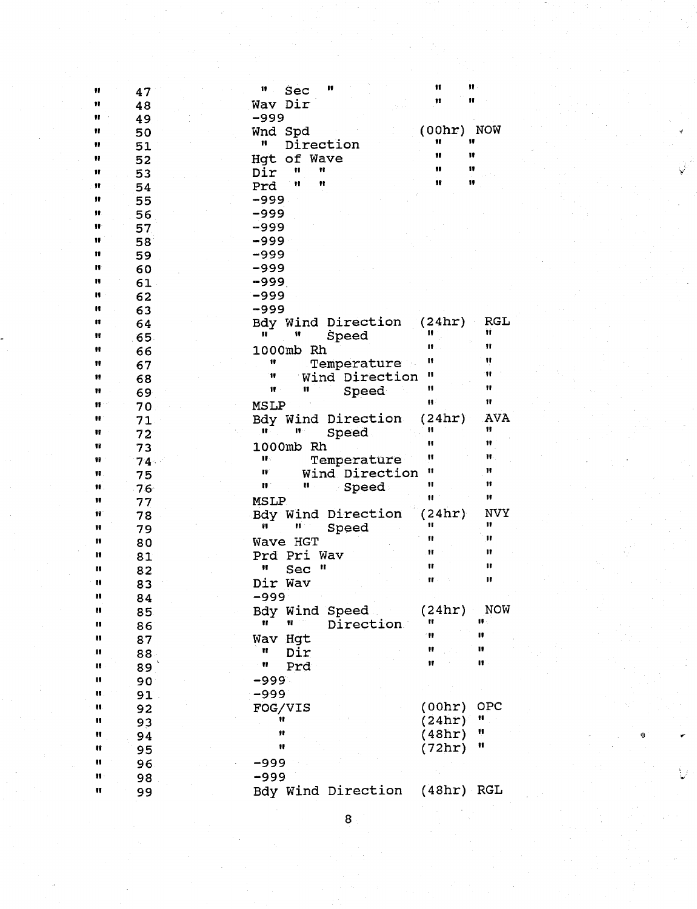| Ħ  |        | H<br>11<br>Sec                     | Ħ                 | π            |
|----|--------|------------------------------------|-------------------|--------------|
|    | 47     |                                    | Ħ                 | Ħ            |
| Ħ  | 48     | Wav Dir                            |                   |              |
| 11 | 49     | -999                               |                   |              |
| 11 | 50     | Wnd Spd                            | $(00hr)$ NOW<br>Ħ | 11           |
| "  | 51     | Direction<br>H                     | Ħ                 | 11           |
| 11 | 52     | of Wave<br>Hqt                     |                   |              |
| 11 | 53     | Ħ<br>Ħ<br>Dir                      | Ħ                 | 11           |
| Ħ  | 54     | Ħ<br>Ħ<br>Prd                      | 11                | 11           |
| 11 | 55     | $-999$                             |                   |              |
| 11 | 56     | -999                               |                   |              |
| 11 | 57     | $-999$                             |                   |              |
| 11 | 58     | $-999$                             |                   |              |
| 11 | 59     | -999                               |                   |              |
| n  | 60     | $-999$                             |                   |              |
| H  | 61     | $-999$                             |                   |              |
| H  | 62     | -999                               |                   |              |
| n  | 63     | -999                               |                   |              |
| n  |        | Bdy Wind Direction                 | (24hr)            | <b>RGL</b>   |
| Ħ  | 64     | Ħ<br>Ħ                             | 11                | Ħ            |
|    | 65     | Speed                              | Ħ                 | Ħ            |
| Ħ  | 66     | 1000mb<br>Rh                       | n                 | Ħ            |
| 11 | 67     | 11<br>Temperature                  | n                 | Ħ            |
| Ħ  | 68     | Wind Direction<br>11               |                   |              |
| Ħ  | 69     | Ħ<br>11<br>Speed                   | Ħ                 | Ħ            |
| n  | 70     | MSLP                               | Ħ.                | $\mathbf{u}$ |
| 11 | 71     | Bdy Wind Direction                 | (24hr)            | AVA          |
| Ħ  | 72     | 11<br>n<br>Speed                   | Ħ                 | Ħ            |
| Ħ  | 73     | 1000mb Rh                          | Ħ                 | 11           |
| 86 | $74 -$ | $\mathbf{H}$ .<br>Temperature      | Ħ                 | Ħ.           |
| Ħ  | 75     | Ħ<br>Wind Direction                | Ħ                 | Ħ            |
| 18 | 76     | $\mathbf{H}^{\circ}$<br>n<br>Speed | Ħ                 | 11           |
| 11 | 77     | <b>MSLP</b>                        | Ħ                 | π            |
| Ħ  | 78     | Bdy Wind Direction                 | (24hr)            | NVY          |
| 11 | 79     | n<br>n<br>Speed                    | 11                | n            |
| 18 | 80     | Wave HGT                           | Ħ                 | Ħ            |
| 11 | 81     | Prd Pri Wav                        | Ħ                 | 11           |
| n  | 82     | Ħ<br>Sec<br>Ħ                      | Ħ                 | Ħ            |
| n  |        | Dir Wav                            | Ħ                 | π            |
|    | 83     | -999                               |                   |              |
| H  | 84     |                                    | (24hr)            | <b>NOW</b>   |
|    | 85     | Bdy Wind Speed<br>Ħ<br>Ħ           | Ħ                 | 11           |
| П  | 86     | Direction                          | 11                | π            |
| n  | 87     | Wav Hgt                            | Ħ                 | 11           |
| Ħ  | $88-$  | Ħ<br>Dir                           |                   |              |
| n  | 89     | Ħ<br>Prd                           | Ħ                 | n            |
| n  | 90     | $-999$                             |                   |              |
| H  | 91     | $-999$                             |                   |              |
| H. | 92     | FOG/VIS                            | (00hr)            | OPC          |
| H  | 93     | Ħ                                  | (24hr)            | H            |
| Ħ  | 94     | 98                                 | (48hr)            | ņ            |
| Ħ  | 95     | Ħ                                  | (72hr)            | Ħ            |
| n  | 96     | $-999$                             |                   |              |
| Ħ  | 98     | $-999$                             |                   |              |
| Ħ  |        | Bdy Wind Direction                 | $(48hr)$ RGL      |              |
|    | 99     |                                    |                   |              |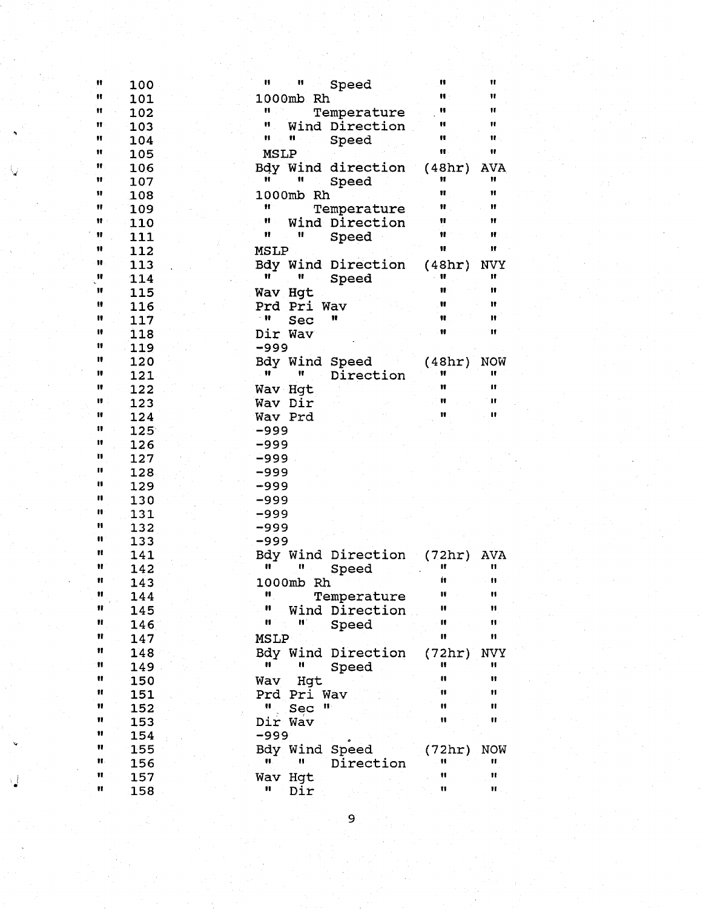| Ħ              | 100         | Ħ<br>IJ<br>Speed             | n                      | Ħ               |
|----------------|-------------|------------------------------|------------------------|-----------------|
| Ħ              | 101         | 1000mb Rh                    | $\mathbf{H}$ :         | Ħ               |
| Ħ              | 102         | Ħ<br>Temperature             | н                      | Ħ               |
| Ħ              | 103         | n<br>Wind Direction          | Ħ                      | $\mathbf{H}$    |
| Ħ              | 104         | Ħ<br>н.<br>Speed             | Ħ                      | 非.              |
| Ħ              | 105         | <b>MSLP</b>                  | Ħ                      | Ħ               |
| Ħ              | 106         | Bdy Wind direction           | (48hr)                 | <b>AVA</b>      |
| 11             | 107         | Ħ<br>Ħ<br>Speed              | 11                     | Ħ               |
| Ħ              | 108         | 1000mb Rh                    | Ħ                      | 11              |
| Ħ              | 109         | Ħ<br>Temperature             | Ħ                      | Ħ               |
| $\mathbf{H}$ . | 110         | Ħ<br>Wind Direction          | Ħ                      | Ħ               |
| Ħ              | 111         | Ħ<br>Ħ<br>Speed              | Ħ                      | Ħ               |
| 11             | 112         | <b>MSLP</b>                  | Ħ                      | Ħ               |
| Ħ.             |             |                              |                        |                 |
| Ħ              | 113         | Bdy Wind Direction<br>Ħ<br>π | (48hr)<br>$\mathbf{u}$ | <b>NVY</b><br>Ħ |
| π              | 114         | Speed                        | Ħ                      | 18              |
| 11             | 115         | Wav Hgt                      | Ħ                      | 11              |
|                | 116         | Prd Pri Wav                  |                        |                 |
| n              | 117         | $^{\circ}$ H<br>Sec<br>11    | Ħ                      | 11              |
| 10             | 118         | Dir Wav                      | Ħ                      | 11              |
| 11             | 119         | -999                         |                        |                 |
| 11             | 120         | Bdy Wind Speed               | (48hr)                 | <b>NOW</b>      |
| 11             | 121         | 11<br>Ħ<br>Direction         | 11                     | π               |
| 11             | 122         | Wav Hqt                      | 11                     | 11              |
| Ħ.             | 123         | Wav Dir                      | П                      | $\mathbf{H}$    |
| 18             | 124         | Wav Prd                      | n                      | $\blacksquare$  |
| 11             | $125^\circ$ | -999                         |                        |                 |
| 11             | 126         | -999                         |                        |                 |
| n              | 127         | -999                         |                        |                 |
| H              | 128         | -999                         |                        |                 |
| n              | 129         | -999                         |                        |                 |
| n              | 130         | -999                         |                        |                 |
| n              | 131         | -999                         |                        |                 |
| n              | 132         | -999                         |                        |                 |
| π              | 133         | -999                         |                        |                 |
| Ħ              | 141         | Bdy Wind Direction           | (72hr)                 | AVA             |
| Ħ              | 142         | n<br>11<br>Speed             | Ħ                      | n               |
| 11             | 143         | 1000mb<br>Rh                 | İt                     | n               |
| Ħ              | 144         | n<br>Temperature             | 17                     | Ħ               |
| Ħ              | 145         | n<br>Wind Direction          | π                      | 11              |
| Ħ              | 146         | H<br>IJ,<br>Speed            | H                      | n               |
| n              | 147         | MSLP                         | n                      | n               |
| Ħ              | 148         | Bdy Wind Direction           | (72hr)                 | NVY             |
| Ħ              | 149         | H<br>H<br>Speed              | π                      | 11              |
| 11             | 150         | Hgt<br>Wav                   | n                      | Ħ               |
| Ħ              | 151         | Pri Wav<br>Prd               | n                      | Ħ               |
| 11             | 152         | ч<br>Sec<br>n                | n                      | Ħ               |
| π              | 153         | Dir Wav                      | n                      | Ħ               |
| 11             | 154         | -999                         |                        |                 |
|                |             |                              |                        |                 |
| n              | 155         | Bdy Wind<br>Speed            | (72hr)                 | NOW             |
| Ħ.             | 156         | Н<br>Direction               | Ħ                      | 11              |
| Ħ.             | 157         | Wav<br>Hgt                   | Ħ                      | $\mathbf{H}$    |

 $\overline{9}$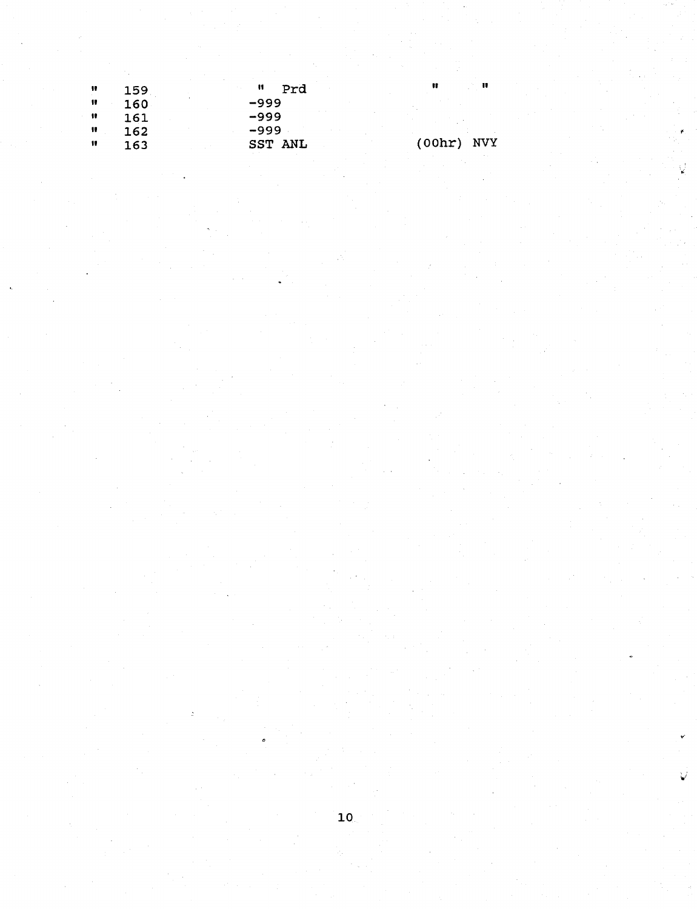| 11 | 159 | u<br>Prd | n            |
|----|-----|----------|--------------|
| H  | 160 | -999     |              |
| Ħ  | 161 | -999     |              |
| ĸ  | 162 | -999     |              |
| Ħ  | 163 | SST ANL  | $(00hr)$ NVY |

 $\hat{\mathbf{u}}$ 

 $\mathbf{u}$ 

IJ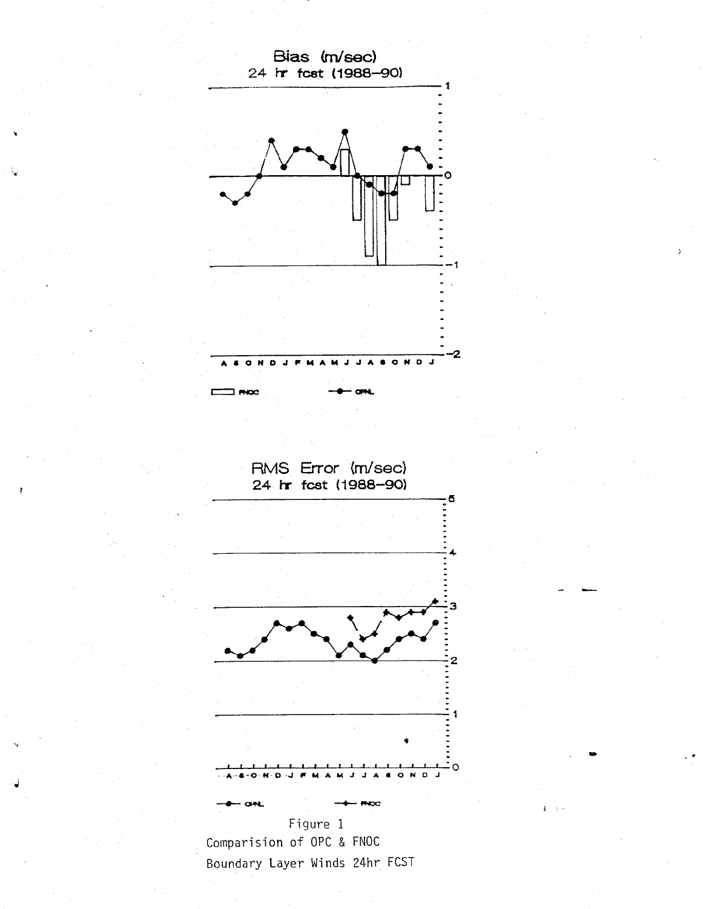

V

Comparision of OPC & FNOC Boundary Layer Winds 24hr FCST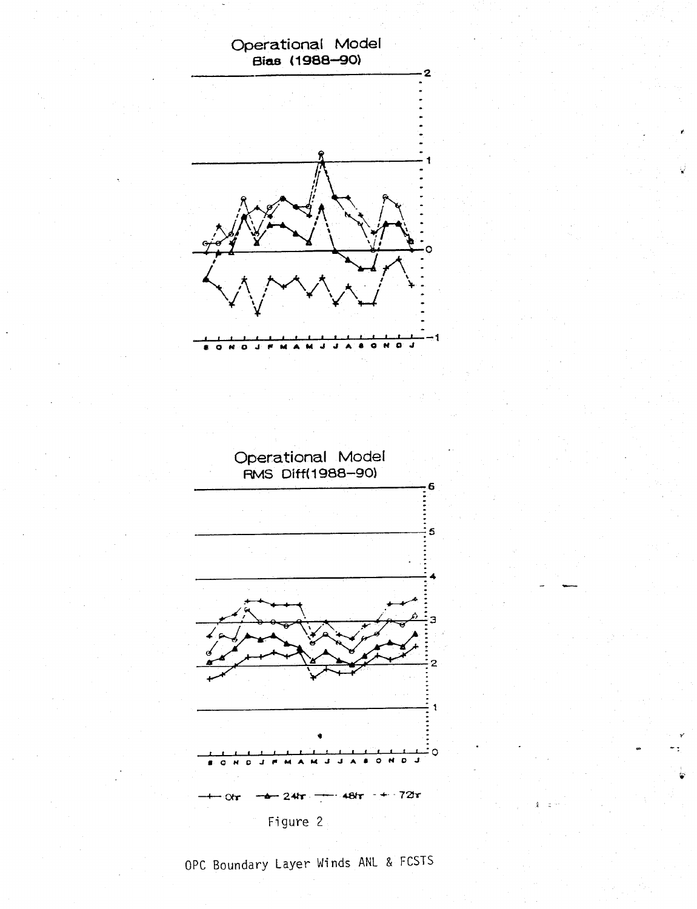

OPC Boundary Layer Winds ANL & FCSTS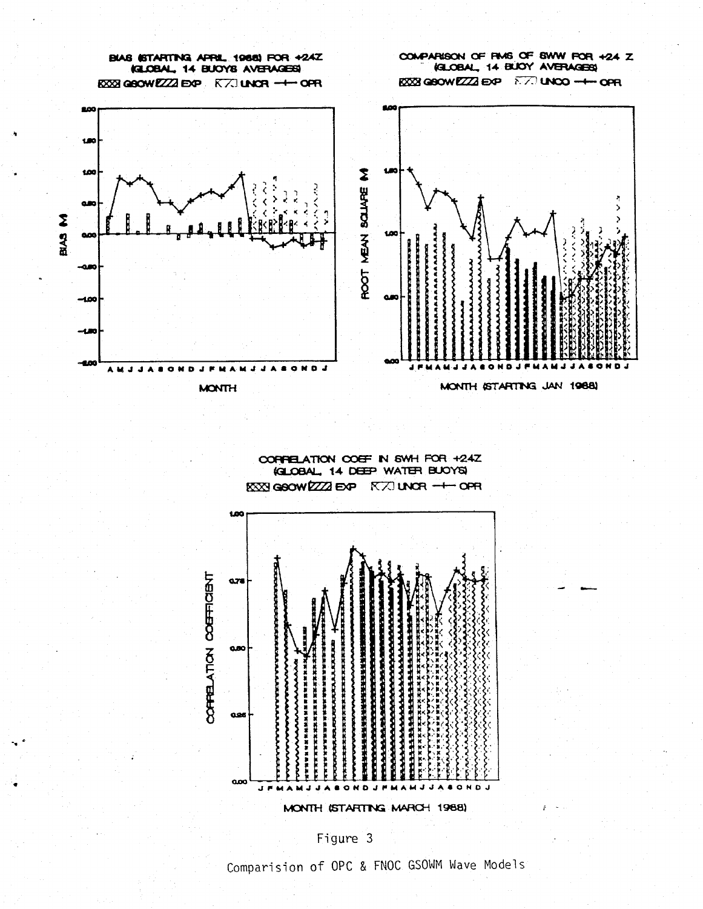

CORPELATION COEF IN 6WH FOR +24Z **KELOBAL, 14 DEEP WATER BUOYS KXXI GOOW EZZZI EXP K7J UNCR -+ OPR** 



Figure 3

Comparision of OPC & FNOC GSOWM Wave Models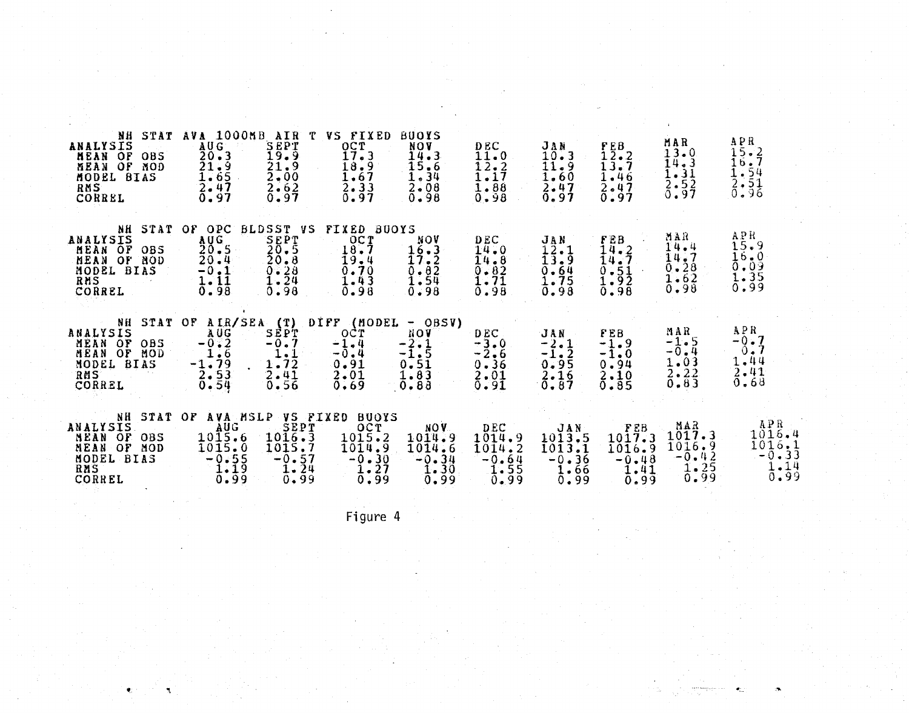| NH<br>STAT<br>ANALYSIS<br><b>HEAN OF</b><br>085<br>ÖF<br>MEAN<br>MOD<br>MODEL BIAS<br>RMS<br>CORREL           | AVA 1000MB<br>AUG<br>20.3<br>21.9<br>1.65<br>2.47<br>0.97                    | AIR<br>SEPT<br>19.9<br>$\frac{71.9}{2.00}$<br>2.62<br>0.97                  | VS.<br>FIXED<br>OCT<br>17.3<br>18.9<br>1.67<br>2.33<br>0.97                             | <b>BUOYS</b><br><b>NOV</b><br>14.3<br>15.6<br>1.34<br>$2 - 08$<br>0.98 | D EC<br>11.0<br>12.2<br>$1\centerdot17$<br>1.88<br>0.98   | JAN<br>10.3<br>11.9<br>1.60<br>2.47<br>0.97                               | F E B<br>$1\bar{2}$ .2<br>13.7<br>1.46<br>2.47<br>$\bar{0}$ .97 | MAR<br>13.0<br>14.3<br>$\frac{1}{2}$ . $\frac{3}{2}$<br>Õ.97        | APR<br>$\frac{15}{15}$<br>$\frac{1}{15}$<br>$\frac{1}{2}$<br>$\frac{1}{2}$<br>$\frac{1}{2}$<br>$\frac{1}{9}$<br>$\frac{1}{6}$ |
|---------------------------------------------------------------------------------------------------------------|------------------------------------------------------------------------------|-----------------------------------------------------------------------------|-----------------------------------------------------------------------------------------|------------------------------------------------------------------------|-----------------------------------------------------------|---------------------------------------------------------------------------|-----------------------------------------------------------------|---------------------------------------------------------------------|-------------------------------------------------------------------------------------------------------------------------------|
| STAT<br>NH<br><b>ANALYSIS</b><br>MEAN OF<br>OBS<br>OF<br>MEAN<br><b>NOD</b><br>MODEL BIAS<br>RNS<br>CORREL    | OPC<br>ΟF<br>AUG.<br>20.5<br>20.4<br>$\frac{1}{1}$ , $\frac{1}{1}$<br>0.98   | <b>BLDSST VS</b><br>SEPT<br>$\frac{25.5}{20.8}$<br>0.28<br>$1 - 24$<br>0.98 | <b>FIXED</b><br><b>BUOYS</b><br>OCT<br>18.7<br>19.4<br>0.70<br>$1 - 43$<br>0.98         | NOV<br>16.3<br>17.2<br>0.82<br>1.54<br>0.98                            | DEC<br>14.0<br>14.8<br>$0 - 82$<br>1.71<br>0.98           | JAN<br>12.1<br>13.9<br>0.64<br><b>1.75</b><br>0.98                        | FEB<br>14.2<br>14.7<br>$\frac{0.51}{1.92}$<br>0.98              | HAR<br>14.4<br>14.7<br>0.28<br>1.62<br>0.98                         | APR<br>15.9<br>$\frac{16}{0.09}$<br>1.35<br>0.99                                                                              |
| <b>STAT</b><br>NH<br>ANALYSIS<br>MEAN OF<br>OBS<br>0F<br>MEAN<br>MOD<br><b>BIAS</b><br>MODEL<br>RMS<br>CORREL | AIR/SEA<br>OF<br>AUG<br>$-0.2$<br>$-1.79$<br>$\frac{2}{6}$ = $\frac{53}{54}$ | DIFF<br>(T)<br>SEPT<br>$-0.7$<br>1.1<br>1.72<br>2.41<br>0.56                | (HODEL<br>OCT<br>$-1.4$<br>$\frac{-5.4}{0.91}$<br>2.01<br>0.69                          | $-$ OBSV)<br>NOV<br>$-2.1$<br>$\frac{-1.5}{0.51}$<br>1.83<br>$0 - 83$  | D EC.<br>$-3.0$<br>$\frac{-2.6}{0.36}$<br>2.01<br>0.91    | JAN<br>$-2.1$<br>$-\overline{1}\cdot\overline{2}$<br>0.95<br>2.16<br>0.87 | FEB<br>$-1.9$<br>$-1.0$<br>0.94<br>2.10<br>$\overline{0.85}$    | MAR<br>$\frac{-1}{0}$ . 5<br>1.03<br>$2 - 22$<br>0.83               | APR.<br>$-0.7$<br>0.7<br>1.44<br>$2 - 41$<br>0.68                                                                             |
| NH<br><b>STAT</b><br>ANALYSIS<br>MEAN<br>OF<br><b>OBS</b><br>MEAN OF<br>MOD<br>MODEL BIAS<br>RMS<br>CORREL    | AVA MSLP<br>OF<br><b>AUG</b><br>$10\bar{1}5.6$<br>1015.0<br>$-9.55$<br>0.99  | VS<br>1016.3<br>1015.7<br>$-0.57$<br>1.24<br>0.99                           | <b>FIXED</b><br><b>BUOYS</b><br>OCT<br>1015.2<br>1014.9<br>$\frac{-5.30}{1.27}$<br>0.99 | NOV.<br>1014.9<br>1014.6<br>$-\frac{0}{1}$ 34<br>0.99                  | <b>DEC</b><br>1014.9<br>1014.2<br>$-0.64$<br>1.55<br>0.99 | JAN<br>1013.5<br>1013.1<br>$-0.36$<br>1.66<br>0.99                        | FEB<br>1017.3<br>1016.9<br>$-\frac{0.48}{1.41}$<br>0.99         | MAR<br>1017.3<br>1016.9<br>$-0.42$<br>$\frac{1}{0}$ : $\frac{2}{9}$ | APR<br>1016.4<br>$\overline{1016}$ , $\overline{33}$<br>1.14<br>0.99                                                          |

Figure 4

9 -